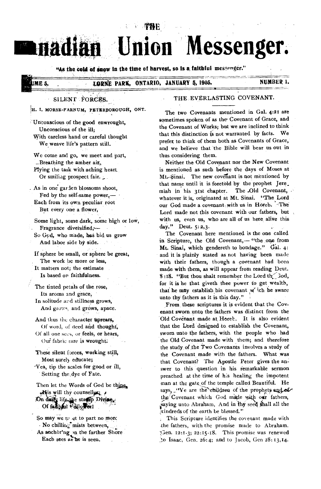# U Messenger. DI

74 E

"As the cold of snow in the time of harvest, so is a faithful messenger."

# **ME 5.**

#### ONTARIO, JANUARY 5, 1905. LORNE PARK,

# NUMBER 1.

### SILENT FORCES.

H. I. MORSE-FARNUM, PETERBOROUGH, ONT.

Unconscious of the good enwrought, Unconscious of the ill: With careless hand or careful thought

We weave life's pattern still.

We come and go, we meet and part, Breathing the amber air, Plying the task with aching heart Or smiliag prospect fair.

. As in one garden blossoms shoot, Fed by the self-same power,-Each from its own peculiar root But every one a flower,

Some light, some dark, some high or low, Fragrance diversified,-

So God, who made, has hid us grow And labor side by side.

If sphere be small, or sphere be great, The work be more or less,

It matters not; the estimate Is based on faithfulness.

The tinted petals of the rose, Its aroma and grace, In solitude and stillness grows,

And grows, and grows, apace. And thus the character uprears,

Of word, of deed and thought, Of all one sees, or feels, or hears, Our fabric rare is wrought:

These silent forces, working still, Most surely educate; Yea, tip the scales for good or ill,

Setting the dye of Fate. Then let the Words of God be thing.

His will thy counseller; On daily life the statep Divine Of faithful Follower!

So may we to et to part no more No chilling mists between, As anchor'ng on the farther Shore Each sees as he is seen.

# THE EVERLASTING COVENANT.

The two Covenants mentioned in Gal. 4:21 are sometimes spoken of as the Covenant of Grace, and the Covenant of Works; but we are inclined to think that this distinction is not warranted by facts. We prefer to think of them both as Covenants of Grace, and we believe that the Bible will bear us out in thus considering them.

Neither the Old Covenant nor the New Covenant is mentioned as such before the days of Moses at Mt.-Sinai. The new covenant is not mentioned by that name until it is foretold by the prophet Jere. miah in his 31st chapter. The Old Covenant, whatever it is, originated at Mt. Sinai. "The Lord our God made a covenant with us in Horeb. The Lord made not this covenant with our fathers, but with us, even us, who are all of us here alive this day." Deut. 5:2,3.

The Covenant here mentioned is the one called in Scripture, the Old Covenant,- "the one from Mt. Sinai, which gendereth to bondage." Gal. 4: and it is plainly stated as not having been made with their fathers, though a covenant had been made with them, as will appear from reading Deut. 8:18. "But thou shalt remember the Lord the 3od, for it is he that giveth thee power to get wealth, that he may establish his covenant w ich he sware unto thy fathers as it is this day."

From these scriptures it is evident that the Covenant sworn unto the fathers was distinct from the Old Covenant made at Horeb. It is also evident that the Lord designed to establish the Covenant, sworn unto the fathers, with the people who had the Old Covenant made with them; and therefore the study of the Two Covenants involves a study of the Covenant made with the fathers. What was that Covenant? The Apostle Peter gives the answer to this question in his remarkable sermon preached at the time of his healing the impotent man at the gate of the temple called Beautiful. He says, "Ye are the children of the prophets and of the Covenant which God made with our fathers, saying unto Abraham, And in thy seed shall all the kindreds of the earth be blessed."

This Scripture identifies the covenant made with the fathers, with the promise made to Abraham. Gen. 12:1-3; 22:15-18. This promise was renewed to Isaac, Gen. 26:4; and to Jacob, Gen 28:13,14.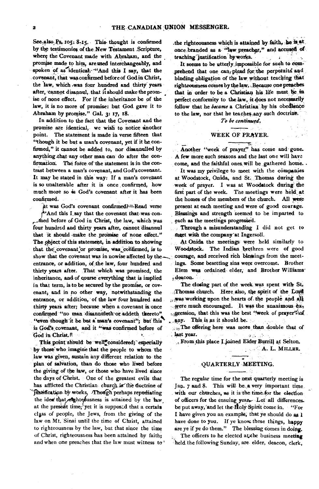See<sub>,also</sub> Ps, 105: 8-15. This thought is confirmed **by the testimonies of the. New Testament .Scripture, where the Covenant made with Abraham, and the**  promise made to him, are used interchangeably, and spoken of as identical. "And this I say, that the covenant, that was confirmed before of God in Christ, **the law, which .was four hundred and thirty years after, cannot disannul, that it should make the promise of none effect. For if the inheritance** *be* **of the law, it is no more of promise: but God gave it to Abraham by promise." Gal. 3: 17, 18.** 

**In addition to the fact that the Covenant and the**  promise are identical, we wish to notice another **point. The statement is made in verse fifteen that "though it be but a man's covenant, yet if it he confirmed," it cannot be added to, nor disannulled by**  anything that any other man can do after the confirmation. The force of the statement is in the con**trast between a man's covenant, and God's covenant. It may be stated in this way: If a man's covenant is so unalterable after it is once confirmed, how much more so is God's covenant after it has been confirmed.** 

 $\hat{\mu}$ t was God's covenant confirmed?=Read verse **e"And this I.say that the covenant that-was conr\_died before of God in Christ, the law, which Was four hundred and thirty years after, cannot disannul**  that it should make the promise of none effect." The object of this statement, in addition to showing that the covenant or promise, was confirmed, is to show that the covenant was in nowise affected by the courage, and received rich blessings from the meet**entrance, or addition, of the law, four hundred and ings. Some besetting sins were overcome. Brother thirty years after. That which was promised, the Elem wee ordained elder, and Brother Williams'**  inheritance, and of course everything that is implied **ideacon**. **in that term, is to be secured by the promise, or coy- The closing part of the week was spent with St,**  "even though it be but a man's covenant"; but this . any. This is as it should be. is God's covenant, and it "was confirmed before of  $\frac{1}{100}$  The offering here was more than double that of **Cod** in Christ.<sup>R</sup>

This point should be well<sup>\*</sup>considered; especially form-this place I joined Elder Burrill at Selton.<br> **Those** who imagine that the people to whom the by those who imagine that the people to whom the law was given, sustain any different relation to the **plan of salvation, than do those who lived before the giving of the law, or those who have lived since the days of Christ. One of the greatest evils that**  has afflicted the Christian church is the doctrine of **jestiftcatinn works -Thotigh perhaps repudiating the idea' that/rieght5iusness** is attained by **the law,**  at the present time, yet it is supposed that a certain **class of people, the** Jews, from the giving of the law on **Mt. Sinai until the time of Christ, attained**  to righteousness by **the law, but that since the time**  of **Christ, righteousness has been attained by faith; and when** one preaches that the law must witness to'

**.the righteousness which is attained by faith, ise is at**  once branded as a "law preacher," and accused of teaching justification by works.

**It seems to be utterly impossible for such to com** prehend that one can plead for the perpetuits and **binding obligation of the law without teaching that righteousness comes by the law, Because one preaches that in order to** *be* **a Christian his life must he in perfect conformity to the law, itdoes not necessarily follow that he** *became* **a Christian by his obedienceto the law, nor that he teaches.any such doctrine.** 

*To be continued.* 

### WEEK **OF PRAYER.**

Another "week of prayer" has come and gone. **A few more such seasons and the last one will have come, and the faithful ones. will be gathered home. .** 

**It was my privilege to meet with the companies at Woodstock, Onida, and St. Thomas during the week of prayer. I was at Woodstock during the first part of the week. The meetings were held at the homes of the members of the church. All were present at each meeting and were of good courage. Blessings and strength seemed to be imparted to each as the meetings progresied.** 

**Through a misunderstanding I did not get to Meet with the company'at Ingersoll.** 

At Onida the meetings were held similarly to **Woodstock. The Indian brethren were of** good.

enant, and in no other way, notwithstanding the **iThomas church.** Here also, the spirit of the Lord entrance, or addition, of the law four hundred and was working upon the hearts of the people and all **thirty years after; because when a covenant is once were much encouraged. It was the unanimous ex,**  confirmed "no man disannuleth or addeth thereto" <sub>in</sub>pression, that this was the best "week of prayer"? of

 $\overline{a}$  of  $\overline{a}$  .

God in Christ.<sup>R</sup><br>
This point should be well<sup>\*</sup>considered: especially<br> **From this place I joined Elder Burrill** at Selton.

### **QUARTERLY MEETING.**

**The regular time for the next quarterly meeting is Jan. 7 and 8. This will bc. a very important time with our churches, as it is the time\_for the election of officers for the ensuing year, Let all differences.**  be put away, and let the **H**oly Spirit come in. "For **I have given you an example, that ye should do as 1 have done to you. If ye know these things, happy are ye if ye do them." The blessing comes in doing.** 

The officers to he elected at the business meeting **--held. the following Sunday, are elder, deacon, clerk,**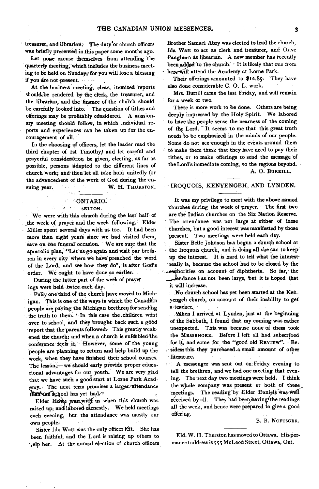**treasurer, and librarian. The duty.or church officers was briefly presented in this paper some months ago.** 

Let none excuse themselves from attending the **quarterly meeting; which includes the business meeting to be held on Sunday; for you will lose a blessing if you are not present.** 

**At the business meeting, clear, itemized reports**  should be rendered by the clerk, the treasurer, and **the librarian, and the finance of the church should be carefully looked into. The question of tithes and**  offerings may be profitably considered. A mission**ary meeting should follow, in which individual reports and experiences can be taken up for the encouragement of all.** 

**In the choosing of officers, let the leader read the third chapter of ist Timothy; and let careful and prayerful consideration be given, electing, as far as**  possible, persons adapted to the different lines of **church work; and then let all take hold unitedly for the advancement of the work of God during the en**suing year. W. H. THURSTON.

#### **ONTARIO.**

#### $\mathcal{E} = \{1, 2, \ldots \}$ **SELTON.**

**We were with this church during the last half of**  the week of prayer and the week following. Elder **Miller spent several days with us too. It had been more than eight years since we had visited them, save on one ftneral occasion. We are sure that the apostolic plan, "Let us go again and visit our brethren in every city where we have preached the word of the Lord, and see how they do", is after God's order. We ought to have done so earlier.** 

**During the latter part of the week of prayer lugs were held twice eachday.** 

**Fully one third of the church have moved to Mich**igan. This is one of the ways in which the Canadian **people are piying the Michigan brethren for sending**  the truth to them. In this case the children went over to school, and they brought back such a good **report that the parents followed: This greatly weak**ened the church; and when a church is enfeebled the **conference feels it. However, some of the young people are planning to return and help build up the work, when they have finished their school courses. The lesson,— we should early provide proper educational advantages for our youth. We are very glad that we have such a good start at Lorne Park Acad**the truth to the concern to school<br>report that the<br>ened the churc<br>conference fee<br>people are pla<br>work, when the lesson,<br>tional advants<br>that we have :<br>emy. The number of the concerning,<br>failed the fillow<br>raised up, and<br>each **emy. The next term promises a largerratteadance**  than the school has yet had.<sup>4</sup>

Elder Howe was with us when this church was **raised up, ancilabored earnestly. We held meetings each evening, but the attendance was mostly our own people.** 

Sister Ida Watt was the only officer left. She has **been faithful, and the Lord is raising up others to help her. At the annual election of church officers** 

**Brother Samuel Abry was elected to lead the** church, **Ida Watt to act as clerk and treasurer, and** Olive **Pangburn as librarian. A new'member has** recently been added to the church. It is likely that one from here will attend the Academy at Lorne Park.

**Their offerings amounted to \$12.85. They** have **also done considerable C. 0. L. work.** 

**Mrs. Burrill came the last Friday, and will remain for a week or two.** 

**There is more work to be done. Others are being deeply impressed by the Holy Spirit. We labored to have the people sense the nearness of the coming**  of the Lord. It seems to me that this great truth **needs o be emphasized in the minds of our people.**  Some do not see enough in the events around them **to make them think that they have need to pay their tithes, or to make offerings to send the message of the Lord's immediate coming, to the regions beyond.** 

# **A. 0. BURRILL.**

### **IROQUOIS, EENYENGEH, AND LYNDEN.**

**It was my privilege to meet with the above named churches during the week of-prayer. The first two are the Indian churches on the Six Nation Reserve. The attendance was not large at either of these churches, but a good interest was manifested by those present. Two meetings were held each day.** 

**Sister Belle Johnson has begun a church school at the Iroquois church, and is doing all she can to keep up the interest. It is hard to tell what the interestreally is, because the school had to be closed by the ..w.erhorities on account of diphtheria. So far, • the** 

**\_.,"."Jendance has not been large, but it is hoped that it will increase.** 

**No church school has yet been started at the Kenyengeh church, on account of their inability to get a -teacher.,** 

**When I arrived at Lynden, just at the beginning of the Sabbath, I found that my coming was rather unexpected. This was because none of them took the MESSENGER. Before I left all had subscribed**  for it, and some for the "good old REVIEW". Beis sides: this they purchased a small amount of other **- literature.** 

**A messenger was sent out on Friday evening to tell the brethren, and we had one meeting that evening. The next day two meetings were held. I think the whole company was present at both of these**  meetings. The reading by Elder Daniels was well received by all. They had been having the readings all the week, and hence were prepared to give a good **offering.** 

**B. B. NOFTSGER.** 

**Eld. W. H. Thurston has moved to Ottawa. His permanent address is 555 McLeod Street, Ottawa, Ont.**